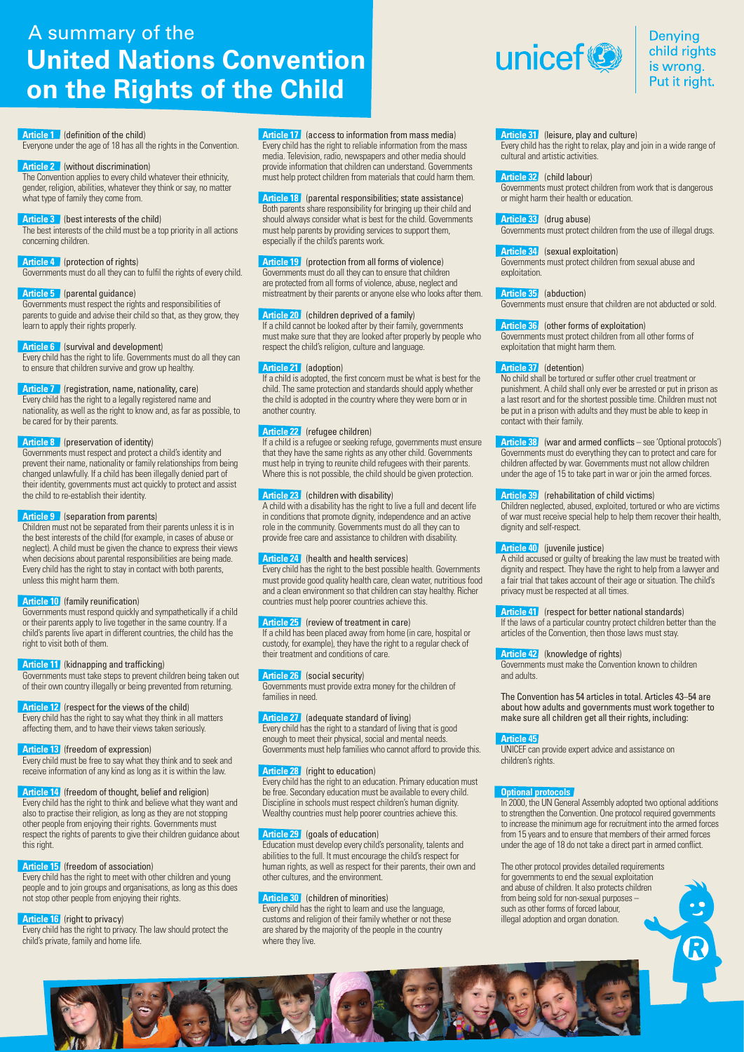#### **Article 1** (definition of the child)

Everyone under the age of 18 has all the rights in the Convention.

#### **Article 2** (without discrimination)

The Convention applies to every child whatever their ethnicity, gender, religion, abilities, whatever they think or say, no matter what type of family they come from.

#### **Article 3** (best interests of the child)

The best interests of the child must be a top priority in all actions concerning children.

#### **Article 4** (protection of rights)

Governments must do all they can to fulfil the rights of every child.

#### **Article 5** (parental guidance)

Governments must respect the rights and responsibilities of parents to guide and advise their child so that, as they grow, they learn to apply their rights properly.

#### **Article 6** (survival and development)

Every child has the right to life. Governments must do all they can to ensure that children survive and grow up healthy.

#### **Article 7** (registration, name, nationality, care)

Every child has the right to a legally registered name and nationality, as well as the right to know and, as far as possible, to be cared for by their parents.

#### **Article 8** (preservation of identity)

Governments must respect and protect a child's identity and prevent their name, nationality or family relationships from being changed unlawfully. If a child has been illegally denied part of their identity, governments must act quickly to protect and assist the child to re-establish their identity.

#### **Article 9** (separation from parents)

Children must not be separated from their parents unless it is in the best interests of the child (for example, in cases of abuse or neglect). A child must be given the chance to express their views when decisions about parental responsibilities are being made. Every child has the right to stay in contact with both parents, unless this might harm them.

#### **Article 10** (family reunification)

**Article 17** (access to information from mass media) Every child has the right to reliable information from the mass media. Television, radio, newspapers and other media should provide information that children can understand. Governments must help protect children from materials that could harm them.

**Article 18** (parental responsibilities; state assistance) Both parents share responsibility for bringing up their child and should always consider what is best for the child. Governments must help parents by providing services to support them, especially if the child's parents work.

#### **Article 19** (protection from all forms of violence)

Governments must respond quickly and sympathetically if a child or their parents apply to live together in the same country. If a child's parents live apart in different countries, the child has the right to visit both of them.

#### **Article 11** (kidnapping and trafficking)

Governments must take steps to prevent children being taken out of their own country illegally or being prevented from returning.

#### **Article 12** (respect for the views of the child)

Every child has the right to say what they think in all matters affecting them, and to have their views taken seriously.

#### **Article 13** (freedom of expression)

Every child must be free to say what they think and to seek and receive information of any kind as long as it is within the law.

**Article 14** (freedom of thought, belief and religion) Every child has the right to think and believe what they want and also to practise their religion, as long as they are not stopping other people from enjoying their rights. Governments must respect the rights of parents to give their children guidance about this right.

Every child has the right to meet with other children and young people and to join groups and organisations, as long as this does not stop other people from enjoying their rights.

#### **Article 16** (right to privacy)

Every child has the right to privacy. The law should protect the child's private, family and home life.

#### **Article 29** (goals of education)

## A summary of the **United Nations Convention on the Rights of the Child**

Governments must do all they can to ensure that children are protected from all forms of violence, abuse, neglect and mistreatment by their parents or anyone else who looks after them.

#### **Article 20** (children deprived of a family)

If a child cannot be looked after by their family, governments must make sure that they are looked after properly by people who respect the child's religion, culture and language.

#### **Article 21** (adoption)

If a child is adopted, the first concern must be what is best for the child. The same protection and standards should apply whether the child is adopted in the country where they were born or in another country.

#### **Article 22** (refugee children)

If a child is a refugee or seeking refuge, governments must ensure that they have the same rights as any other child. Governments must help in trying to reunite child refugees with their parents. Where this is not possible, the child should be given protection.

#### **Article 23** (children with disability)

A child with a disability has the right to live a full and decent life in conditions that promote dignity, independence and an active role in the community. Governments must do all they can to provide free care and assistance to children with disability.

#### **Article 24** (health and health services)

Every child has the right to the best possible health. Governments must provide good quality health care, clean water, nutritious food and a clean environment so that children can stay healthy. Richer countries must help poorer countries achieve this.

#### **Article 25** (review of treatment in care)

If a child has been placed away from home (in care, hospital or custody, for example), they have the right to a regular check of their treatment and conditions of care.

#### **Article 26** (social security)

Governments must provide extra money for the children of families in need.

#### **Article 27** (adequate standard of living)

Every child has the right to a standard of living that is good enough to meet their physical, social and mental needs. Governments must help families who cannot afford to provide this.

#### **Article 28** (right to education)

Every child has the right to an education. Primary education must be free. Secondary education must be available to every child. Discipline in schools must respect children's human dignity. Wealthy countries must help poorer countries achieve this.



### **Denying** child rights is wrong. Put it right.

#### **Article 31** (leisure, play and culture)

Education must develop every child's personality, talents and abilities to the full. It must encourage the child's respect for human rights, as well as respect for their parents, their own and other cultures, and the environment.

#### **Article 30** (children of minorities)

Every child has the right to learn and use the language, customs and religion of their family whether or not these are shared by the majority of the people in the country where they live.

Every child has the right to relax, play and join in a wide range of cultural and artistic activities.

#### **Article 32** (child labour)

Governments must protect children from work that is dangerous or might harm their health or education.

#### **Article 33** (drug abuse)

Governments must protect children from the use of illegal drugs.

#### **Article 34** (sexual exploitation)

Governments must protect children from sexual abuse and exploitation.

**Article 35** (abduction)

Governments must ensure that children are not abducted or sold.

#### **Article 36** (other forms of exploitation)

Governments must protect children from all other forms of exploitation that might harm them.

#### **Article 37** (detention)

No child shall be tortured or suffer other cruel treatment or punishment. A child shall only ever be arrested or put in prison as a last resort and for the shortest possible time. Children must not be put in a prison with adults and they must be able to keep in contact with their family.

**Article 38** (war and armed conflicts – see 'Optional protocols') Governments must do everything they can to protect and care for children affected by war. Governments must not allow children under the age of 15 to take part in war or join the armed forces.

#### **Article 39** (rehabilitation of child victims)

Children neglected, abused, exploited, tortured or who are victims of war must receive special help to help them recover their health, dignity and self-respect.

#### **Article 40** (juvenile justice)

A child accused or guilty of breaking the law must be treated with dignity and respect. They have the right to help from a lawyer and a fair trial that takes account of their age or situation. The child's privacy must be respected at all times.

#### **Article 41** (respect for better national standards)

If the laws of a particular country protect children better than the articles of the Convention, then those laws must stay.

#### **Article 42** (knowledge of rights)

Governments must make the Convention known to children and adults.

The Convention has 54 articles in total. Articles 43–54 are about how adults and governments must work together to make sure all children get all their rights, including:

#### **Article 45**

UNICEF can provide expert advice and assistance on children's rights.

#### **Optional protocols**

#### **Article 15** (freedom of association)

In 2000, the UN General Assembly adopted two optional additions to strengthen the Convention. One protocol required governments to increase the minimum age for recruitment into the armed forces from 15 years and to ensure that members of their armed forces under the age of 18 do not take a direct part in armed conflict.

The other protocol provides detailed requirements for governments to end the sexual exploitation and abuse of children. It also protects children from being sold for non-sexual purposes – such as other forms of forced labour, illegal adoption and organ donation.